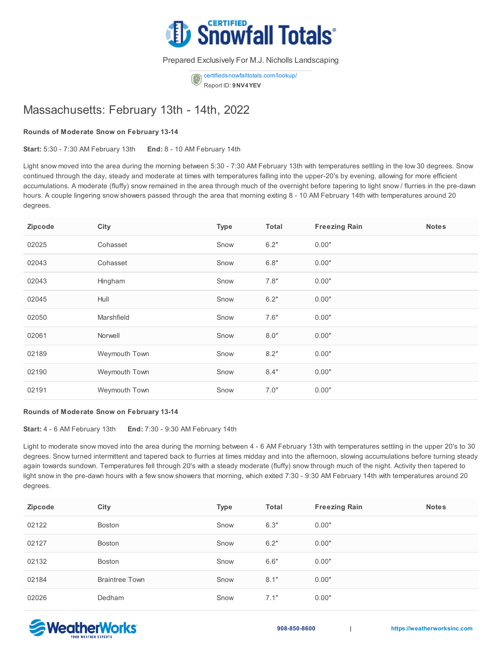

Prepared Exclusively For M.J. Nicholls Landscaping

[certifiedsnowfalltotals.com/lookup/](https://certifiedsnowfalltotals.com/lookup) Report ID: **9NV4YEV**

## Massachusetts: February 13th - 14th, 2022

## **Rounds of Moderate Snow on February 13-14**

**Start:** 5:30 - 7:30 AM February 13th **End:** 8 - 10 AM February 14th

Light snow moved into the area during the morning between 5:30 - 7:30 AM February 13th with temperatures settling in the low 30 degrees. Snow continued through the day, steady and moderate at times with temperatures falling into the upper-20's by evening, allowing for more efficient accumulations. A moderate (fluffy) snow remained in the area through much of the overnight before tapering to light snow / flurries in the pre-dawn hours. A couple lingering snow showers passed through the area that morning exiting 8 - 10 AM February 14th with temperatures around 20 degrees.

| Zipcode | City          | <b>Type</b> | <b>Total</b> | <b>Freezing Rain</b> | <b>Notes</b> |
|---------|---------------|-------------|--------------|----------------------|--------------|
| 02025   | Cohasset      | Snow        | 6.2"         | 0.00"                |              |
| 02043   | Cohasset      | Snow        | 6.8''        | 0.00"                |              |
| 02043   | Hingham       | Snow        | 7.8''        | 0.00"                |              |
| 02045   | Hull          | Snow        | 6.2"         | 0.00"                |              |
| 02050   | Marshfield    | Snow        | 7.6''        | 0.00"                |              |
| 02061   | Norwell       | Snow        | 8.0"         | 0.00"                |              |
| 02189   | Weymouth Town | Snow        | 8.2"         | 0.00"                |              |
| 02190   | Weymouth Town | Snow        | 8.4"         | 0.00"                |              |
| 02191   | Weymouth Town | Snow        | 7.0"         | 0.00"                |              |

## **Rounds of Moderate Snow on February 13-14**

**Start:** 4 - 6 AM February 13th **End:** 7:30 - 9:30 AM February 14th

Light to moderate snow moved into the area during the morning between 4 - 6 AM February 13th with temperatures settling in the upper 20's to 30 degrees. Snow turned intermittent and tapered back to flurries at times midday and into the afternoon, slowing accumulations before turning steady again towards sundown. Temperatures fell through 20's with a steady moderate (fluffy) snow through much of the night. Activity then tapered to light snow in the pre-dawn hours with a few snow showers that morning, which exited 7:30 - 9:30 AM February 14th with temperatures around 20 degrees.

| Zipcode | City                  | <b>Type</b> | Total | <b>Freezing Rain</b> | <b>Notes</b> |
|---------|-----------------------|-------------|-------|----------------------|--------------|
| 02122   | Boston                | Snow        | 6.3'' | 0.00"                |              |
| 02127   | Boston                | Snow        | 6.2"  | 0.00"                |              |
| 02132   | Boston                | Snow        | 6.6"  | 0.00"                |              |
| 02184   | <b>Braintree Town</b> | Snow        | 8.1"  | 0.00"                |              |
| 02026   | Dedham                | Snow        | 7.1"  | 0.00"                |              |